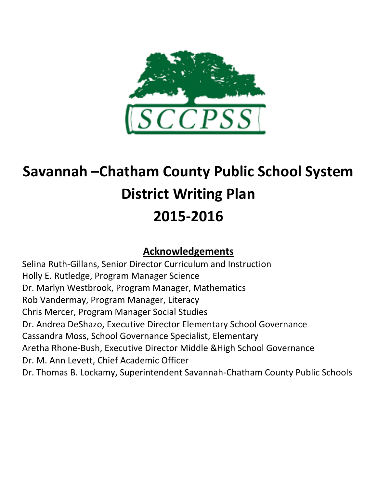

# **Savannah –Chatham County Public School System District Writing Plan 2015-2016**

# **Acknowledgements**

Selina Ruth-Gillans, Senior Director Curriculum and Instruction Holly E. Rutledge, Program Manager Science Dr. Marlyn Westbrook, Program Manager, Mathematics Rob Vandermay, Program Manager, Literacy Chris Mercer, Program Manager Social Studies Dr. Andrea DeShazo, Executive Director Elementary School Governance Cassandra Moss, School Governance Specialist, Elementary Aretha Rhone-Bush, Executive Director Middle &High School Governance Dr. M. Ann Levett, Chief Academic Officer Dr. Thomas B. Lockamy, Superintendent Savannah-Chatham County Public Schools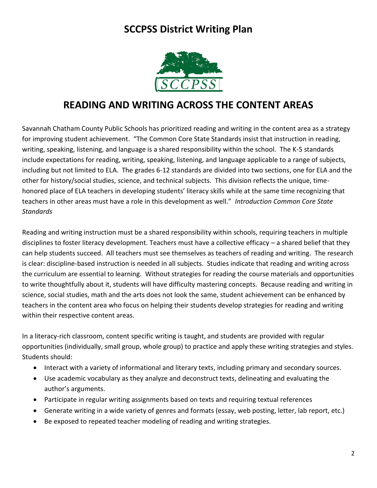

# **READING AND WRITING ACROSS THE CONTENT AREAS**

Savannah Chatham County Public Schools has prioritized reading and writing in the content area as a strategy for improving student achievement. "The Common Core State Standards insist that instruction in reading, writing, speaking, listening, and language is a shared responsibility within the school. The K-5 standards include expectations for reading, writing, speaking, listening, and language applicable to a range of subjects, including but not limited to ELA. The grades 6-12 standards are divided into two sections, one for ELA and the other for history/social studies, science, and technical subjects. This division reflects the unique, timehonored place of ELA teachers in developing students' literacy skills while at the same time recognizing that teachers in other areas must have a role in this development as well." *Introduction Common Core State Standards*

Reading and writing instruction must be a shared responsibility within schools, requiring teachers in multiple disciplines to foster literacy development. Teachers must have a collective efficacy – a shared belief that they can help students succeed. All teachers must see themselves as teachers of reading and writing. The research is clear: discipline-based instruction is needed in all subjects. Studies indicate that reading and writing across the curriculum are essential to learning. Without strategies for reading the course materials and opportunities to write thoughtfully about it, students will have difficulty mastering concepts. Because reading and writing in science, social studies, math and the arts does not look the same, student achievement can be enhanced by teachers in the content area who focus on helping their students develop strategies for reading and writing within their respective content areas.

In a literacy-rich classroom, content specific writing is taught, and students are provided with regular opportunities (individually, small group, whole group) to practice and apply these writing strategies and styles. Students should:

- Interact with a variety of informational and literary texts, including primary and secondary sources.
- Use academic vocabulary as they analyze and deconstruct texts, delineating and evaluating the author's arguments.
- Participate in regular writing assignments based on texts and requiring textual references
- Generate writing in a wide variety of genres and formats (essay, web posting, letter, lab report, etc.)
- Be exposed to repeated teacher modeling of reading and writing strategies.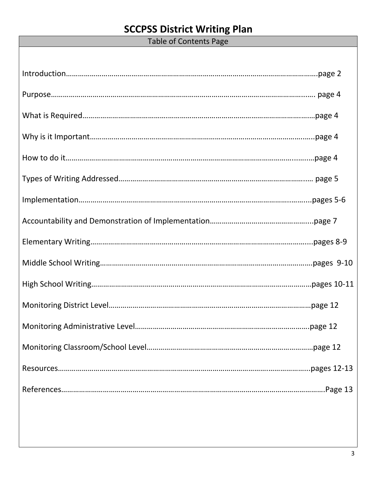Table of Contents Page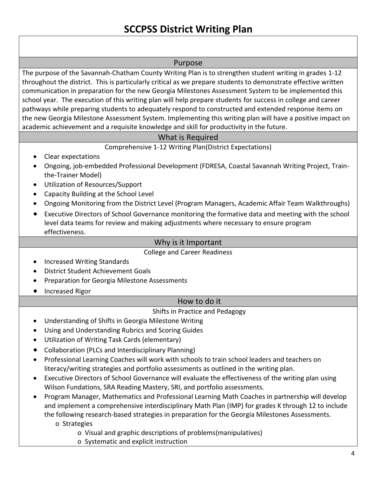#### Purpose

The purpose of the Savannah-Chatham County Writing Plan is to strengthen student writing in grades 1-12 throughout the district. This is particularly critical as we prepare students to demonstrate effective written communication in preparation for the new Georgia Milestones Assessment System to be implemented this school year. The execution of this writing plan will help prepare students for success in college and career pathways while preparing students to adequately respond to constructed and extended response items on the new Georgia Milestone Assessment System. Implementing this writing plan will have a positive impact on academic achievement and a requisite knowledge and skill for productivity in the future.

#### What is Required

#### Comprehensive 1-12 Writing Plan(District Expectations)

- Clear expectations
- Ongoing, job-embedded Professional Development (FDRESA, Coastal Savannah Writing Project, Trainthe-Trainer Model)
- Utilization of Resources/Support
- Capacity Building at the School Level
- Ongoing Monitoring from the District Level (Program Managers, Academic Affair Team Walkthroughs)
- Executive Directors of School Governance monitoring the formative data and meeting with the school level data teams for review and making adjustments where necessary to ensure program effectiveness.

#### Why is it Important

College and Career Readiness

- Increased Writing Standards
- District Student Achievement Goals
- Preparation for Georgia Milestone Assessments
- **•** Increased Rigor

#### How to do it

#### Shifts in Practice and Pedagogy

- Understanding of Shifts in Georgia Milestone Writing
- Using and Understanding Rubrics and Scoring Guides
- Utilization of Writing Task Cards (elementary)
- Collaboration (PLCs and Interdisciplinary Planning)
- Professional Learning Coaches will work with schools to train school leaders and teachers on literacy/writing strategies and portfolio assessments as outlined in the writing plan.
- Executive Directors of School Governance will evaluate the effectiveness of the writing plan using Wilson Fundations, SRA Reading Mastery, SRI, and portfolio assessments.
- Program Manager, Mathematics and Professional Learning Math Coaches in partnership will develop and implement a comprehensive interdisciplinary Math Plan (IMP) for grades K through 12 to include the following research-based strategies in preparation for the Georgia Milestones Assessments.
	- o Strategies
		- o Visual and graphic descriptions of problems(manipulatives)
		- o Systematic and explicit instruction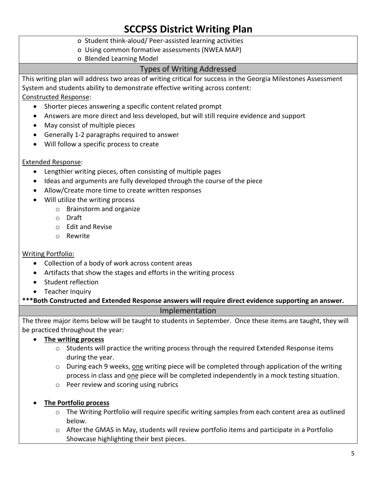- o Student think-aloud/ Peer-assisted learning activities
- o Using common formative assessments (NWEA MAP)
- o Blended Learning Model

#### Types of Writing Addressed

This writing plan will address two areas of writing critical for success in the Georgia Milestones Assessment System and students ability to demonstrate effective writing across content:

Constructed Response:

- Shorter pieces answering a specific content related prompt
- Answers are more direct and less developed, but will still require evidence and support
- May consist of multiple pieces
- Generally 1-2 paragraphs required to answer
- Will follow a specific process to create

#### Extended Response:

- Lengthier writing pieces, often consisting of multiple pages
- Ideas and arguments are fully developed through the course of the piece
- Allow/Create more time to create written responses
- Will utilize the writing process
	- o Brainstorm and organize
	- o Draft
	- o Edit and Revise
	- o Rewrite

#### Writing Portfolio:

- Collection of a body of work across content areas
- Artifacts that show the stages and efforts in the writing process
- Student reflection
- **•** Teacher Inquiry

**\*\*\*Both Constructed and Extended Response answers will require direct evidence supporting an answer.** 

#### Implementation

The three major items below will be taught to students in September. Once these items are taught, they will be practiced throughout the year:

- **The writing process**
	- $\circ$  Students will practice the writing process through the required Extended Response items during the year.
	- $\circ$  During each 9 weeks, one writing piece will be completed through application of the writing process in class and one piece will be completed independently in a mock testing situation.
	- o Peer review and scoring using rubrics
- **The Portfolio process**
	- $\circ$  The Writing Portfolio will require specific writing samples from each content area as outlined below.
	- $\circ$  After the GMAS in May, students will review portfolio items and participate in a Portfolio Showcase highlighting their best pieces.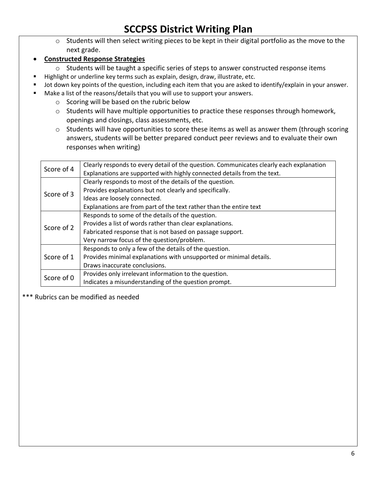- o Students will then select writing pieces to be kept in their digital portfolio as the move to the next grade.
- **Constructed Response Strategies**
	- o Students will be taught a specific series of steps to answer constructed response items
- Highlight or underline key terms such as explain, design, draw, illustrate, etc.
- Jot down key points of the question, including each item that you are asked to identify/explain in your answer.
- Make a list of the reasons/details that you will use to support your answers.
	- o Scoring will be based on the rubric below
	- o Students will have multiple opportunities to practice these responses through homework, openings and closings, class assessments, etc.
	- o Students will have opportunities to score these items as well as answer them (through scoring answers, students will be better prepared conduct peer reviews and to evaluate their own responses when writing)

| Score of 4 | Clearly responds to every detail of the question. Communicates clearly each explanation<br>Explanations are supported with highly connected details from the text. |
|------------|--------------------------------------------------------------------------------------------------------------------------------------------------------------------|
|            | Clearly responds to most of the details of the question.                                                                                                           |
| Score of 3 | Provides explanations but not clearly and specifically.                                                                                                            |
|            | Ideas are loosely connected.                                                                                                                                       |
|            | Explanations are from part of the text rather than the entire text                                                                                                 |
| Score of 2 | Responds to some of the details of the question.                                                                                                                   |
|            | Provides a list of words rather than clear explanations.                                                                                                           |
|            | Fabricated response that is not based on passage support.                                                                                                          |
|            | Very narrow focus of the question/problem.                                                                                                                         |
|            | Responds to only a few of the details of the question.                                                                                                             |
| Score of 1 | Provides minimal explanations with unsupported or minimal details.                                                                                                 |
|            | Draws inaccurate conclusions.                                                                                                                                      |
| Score of 0 | Provides only irrelevant information to the question.                                                                                                              |
|            | Indicates a misunderstanding of the question prompt.                                                                                                               |
|            |                                                                                                                                                                    |

\*\*\* Rubrics can be modified as needed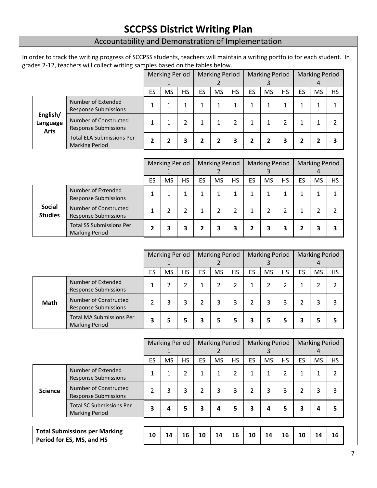|                                     | grades 2-12, teachers will collect writing samples based on the tables below. |                              |                                                          |           |                         |                            |                            |                            |                            |                            |                       |                            |                             |
|-------------------------------------|-------------------------------------------------------------------------------|------------------------------|----------------------------------------------------------|-----------|-------------------------|----------------------------|----------------------------|----------------------------|----------------------------|----------------------------|-----------------------|----------------------------|-----------------------------|
|                                     |                                                                               |                              | <b>Marking Period</b><br>1<br>2                          |           | <b>Marking Period</b>   |                            | <b>Marking Period</b><br>3 |                            | 4                          |                            | <b>Marking Period</b> |                            |                             |
|                                     |                                                                               | <b>MS</b><br><b>HS</b><br>ES |                                                          | ES        | <b>MS</b>               | <b>HS</b>                  | ES                         | <b>MS</b>                  | <b>HS</b>                  | ES                         | <b>MS</b>             | <b>HS</b>                  |                             |
| English/<br>Language<br><b>Arts</b> | Number of Extended<br><b>Response Submissions</b>                             | 1                            | 1                                                        | 1         | 1                       | 1                          | 1                          | 1                          | 1                          | 1                          | $\mathbf{1}$          | $\mathbf{1}$               | 1                           |
|                                     | Number of Constructed<br><b>Response Submissions</b>                          | 1                            | 1                                                        | 2         | 1                       | 1                          | $\overline{2}$             | 1                          | 1                          | $\overline{2}$             | $\mathbf{1}$          | $\mathbf{1}$               | 2                           |
|                                     | <b>Total ELA Submissions Per</b><br><b>Marking Period</b>                     | $\overline{2}$               | $\overline{2}$                                           | 3         | $\overline{\mathbf{2}}$ | $\overline{\mathbf{2}}$    | 3                          | 2                          | $\overline{2}$             | 3                          | $\overline{2}$        | 2                          | 3                           |
|                                     |                                                                               |                              | <b>Marking Period</b><br>1                               |           |                         | <b>Marking Period</b><br>2 |                            | <b>Marking Period</b><br>3 |                            | <b>Marking Period</b><br>4 |                       |                            |                             |
|                                     |                                                                               | ES                           | <b>MS</b>                                                | <b>HS</b> | ES                      | <b>MS</b>                  | <b>HS</b>                  | ES                         | <b>MS</b>                  | <b>HS</b>                  | ES                    | <b>MS</b>                  | <b>HS</b>                   |
|                                     | Number of Extended<br><b>Response Submissions</b>                             | 1                            | 1                                                        | 1         | 1                       | 1                          | 1                          | 1                          | 1                          | 1                          | $\mathbf{1}$          | $\mathbf{1}$               | 1                           |
| <b>Social</b><br><b>Studies</b>     | Number of Constructed<br><b>Response Submissions</b>                          | 1                            | $\overline{2}$                                           | 2         | $\mathbf{1}$            | $\overline{2}$             | $\overline{2}$             | 1                          | $\overline{2}$             | 2                          | $\mathbf{1}$          | 2                          | $\overline{2}$              |
|                                     | <b>Total SS Submissions Per</b><br><b>Marking Period</b>                      | $\overline{2}$               | 3                                                        | 3         | $\mathbf{2}$            | 3                          | 3                          | 2                          | 3                          | 3                          | $\mathbf{2}$          | 3                          | 3                           |
|                                     |                                                                               |                              |                                                          |           |                         |                            |                            |                            |                            |                            |                       |                            |                             |
|                                     |                                                                               |                              | <b>Marking Period</b><br><b>Marking Period</b><br>1<br>2 |           |                         | <b>Marking Period</b><br>3 |                            | <b>Marking Period</b><br>4 |                            |                            |                       |                            |                             |
|                                     |                                                                               | ES                           | <b>MS</b>                                                | <b>HS</b> | ES                      | <b>MS</b>                  | <b>HS</b>                  | ES                         | <b>MS</b>                  | <b>HS</b>                  | ES                    | <b>MS</b>                  | HS                          |
|                                     | Number of Extended<br><b>Response Submissions</b>                             | 1                            | 2                                                        | 2         | $\mathbf{1}$            | 2                          | $\overline{2}$             | 1                          | $\overline{2}$             | 2                          | $\mathbf{1}$          | 2                          | $\overline{2}$              |
|                                     |                                                                               |                              |                                                          |           |                         |                            |                            |                            |                            |                            |                       |                            |                             |
| Math                                | Number of Constructed<br><b>Response Submissions</b>                          | $\overline{2}$               | 3                                                        | 3         | 2                       | 3                          | 3                          | 2                          | 3                          | 3                          | 2                     | 3                          | 3                           |
|                                     | <b>Total MA Submissions Per</b><br><b>Marking Period</b>                      | 3                            | 5                                                        | 5         | 3                       | 5                          | 5                          | 3                          | 5                          | 5                          | 3                     | 5                          | 5                           |
|                                     |                                                                               |                              | <b>Marking Period</b><br>1                               |           |                         | <b>Marking Period</b><br>2 |                            |                            | <b>Marking Period</b><br>3 |                            |                       | <b>Marking Period</b><br>4 |                             |
|                                     |                                                                               | ES                           | <b>MS</b>                                                | <b>HS</b> | <b>ES</b>               | <b>MS</b>                  | <b>HS</b>                  | ES                         | <b>MS</b>                  | <b>HS</b>                  | <b>ES</b>             | <b>MS</b>                  |                             |
|                                     | Number of Extended<br><b>Response Submissions</b>                             | $\mathbf{1}$                 | $\mathbf{1}$                                             | 2         | $\mathbf{1}$            | $\mathbf{1}$               | $\overline{2}$             | 1                          | $\mathbf{1}$               | $\overline{2}$             | 1                     | $\mathbf{1}$               | <b>HS</b><br>$\overline{2}$ |
| <b>Science</b>                      | Number of Constructed<br><b>Response Submissions</b>                          | 2                            | 3                                                        | 3         | $\overline{2}$          | 3                          | 3                          | 2                          | 3                          | 3                          | $\overline{2}$        | 3                          | 3                           |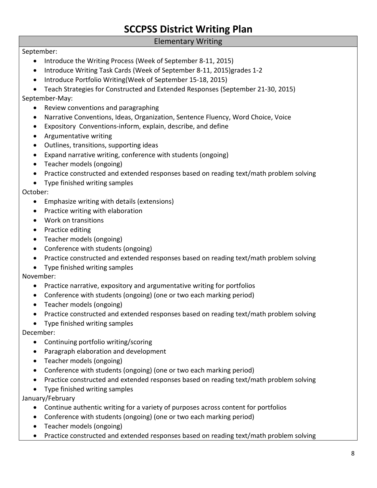#### Elementary Writing

#### September:

- Introduce the Writing Process (Week of September 8-11, 2015)
- Introduce Writing Task Cards (Week of September 8-11, 2015) grades 1-2
- Introduce Portfolio Writing(Week of September 15-18, 2015)
- Teach Strategies for Constructed and Extended Responses (September 21-30, 2015)

September-May:

- Review conventions and paragraphing
- Narrative Conventions, Ideas, Organization, Sentence Fluency, Word Choice, Voice
- Expository Conventions-inform, explain, describe, and define
- Argumentative writing
- Outlines, transitions, supporting ideas
- Expand narrative writing, conference with students (ongoing)
- Teacher models (ongoing)
- Practice constructed and extended responses based on reading text/math problem solving
- Type finished writing samples

October:

- Emphasize writing with details (extensions)
- Practice writing with elaboration
- Work on transitions
- Practice editing
- Teacher models (ongoing)
- Conference with students (ongoing)
- Practice constructed and extended responses based on reading text/math problem solving
- Type finished writing samples

November:

- Practice narrative, expository and argumentative writing for portfolios
- Conference with students (ongoing) (one or two each marking period)
- Teacher models (ongoing)
- Practice constructed and extended responses based on reading text/math problem solving
- Type finished writing samples

December:

- Continuing portfolio writing/scoring
- Paragraph elaboration and development
- Teacher models (ongoing)
- Conference with students (ongoing) (one or two each marking period)
- Practice constructed and extended responses based on reading text/math problem solving
- Type finished writing samples

January/February

- Continue authentic writing for a variety of purposes across content for portfolios
- Conference with students (ongoing) (one or two each marking period)
- Teacher models (ongoing)
- Practice constructed and extended responses based on reading text/math problem solving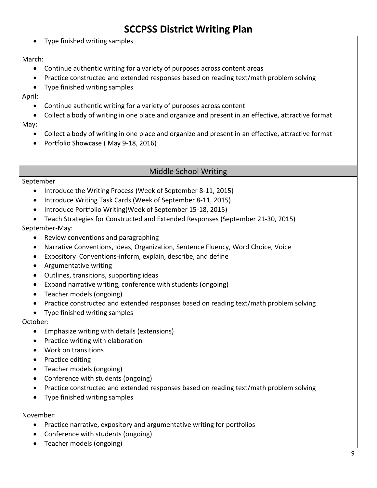• Type finished writing samples

#### March:

- Continue authentic writing for a variety of purposes across content areas
- Practice constructed and extended responses based on reading text/math problem solving
- Type finished writing samples

April:

- Continue authentic writing for a variety of purposes across content
- Collect a body of writing in one place and organize and present in an effective, attractive format May:
	- Collect a body of writing in one place and organize and present in an effective, attractive format
	- Portfolio Showcase (May 9-18, 2016)

#### Middle School Writing

#### September

- Introduce the Writing Process (Week of September 8-11, 2015)
- Introduce Writing Task Cards (Week of September 8-11, 2015)
- Introduce Portfolio Writing(Week of September 15-18, 2015)
- Teach Strategies for Constructed and Extended Responses (September 21-30, 2015)

#### September-May:

- Review conventions and paragraphing
- Narrative Conventions, Ideas, Organization, Sentence Fluency, Word Choice, Voice
- Expository Conventions-inform, explain, describe, and define
- Argumentative writing
- Outlines, transitions, supporting ideas
- Expand narrative writing, conference with students (ongoing)
- Teacher models (ongoing)
- Practice constructed and extended responses based on reading text/math problem solving
- Type finished writing samples

#### October:

- Emphasize writing with details (extensions)
- Practice writing with elaboration
- Work on transitions
- Practice editing
- Teacher models (ongoing)
- Conference with students (ongoing)
- Practice constructed and extended responses based on reading text/math problem solving
- Type finished writing samples

#### November:

- Practice narrative, expository and argumentative writing for portfolios
- Conference with students (ongoing)
- Teacher models (ongoing)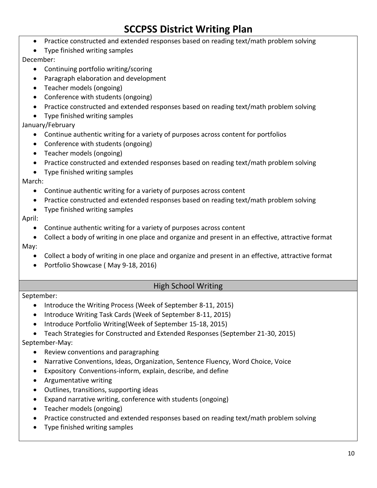- Practice constructed and extended responses based on reading text/math problem solving
- Type finished writing samples

December:

- Continuing portfolio writing/scoring
- Paragraph elaboration and development
- Teacher models (ongoing)
- Conference with students (ongoing)
- Practice constructed and extended responses based on reading text/math problem solving
- Type finished writing samples

January/February

- Continue authentic writing for a variety of purposes across content for portfolios
- Conference with students (ongoing)
- Teacher models (ongoing)
- Practice constructed and extended responses based on reading text/math problem solving
- Type finished writing samples

March:

- Continue authentic writing for a variety of purposes across content
- Practice constructed and extended responses based on reading text/math problem solving
- Type finished writing samples

April:

- Continue authentic writing for a variety of purposes across content
- Collect a body of writing in one place and organize and present in an effective, attractive format May:
	- Collect a body of writing in one place and organize and present in an effective, attractive format
	- Portfolio Showcase (May 9-18, 2016)

#### High School Writing

#### September:

- Introduce the Writing Process (Week of September 8-11, 2015)
- Introduce Writing Task Cards (Week of September 8-11, 2015)
- Introduce Portfolio Writing(Week of September 15-18, 2015)

Teach Strategies for Constructed and Extended Responses (September 21-30, 2015)

September-May:

- Review conventions and paragraphing
- Narrative Conventions, Ideas, Organization, Sentence Fluency, Word Choice, Voice
- Expository Conventions-inform, explain, describe, and define
- Argumentative writing
- Outlines, transitions, supporting ideas
- Expand narrative writing, conference with students (ongoing)
- Teacher models (ongoing)
- Practice constructed and extended responses based on reading text/math problem solving
- Type finished writing samples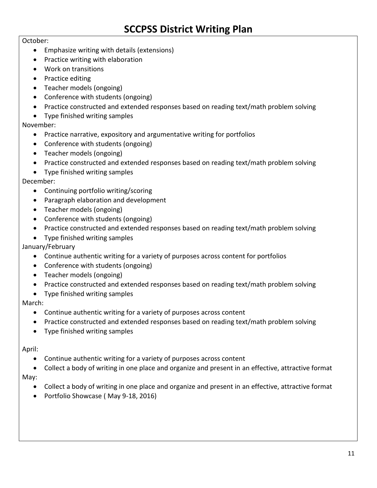#### October:

- Emphasize writing with details (extensions)
- Practice writing with elaboration
- Work on transitions
- Practice editing
- Teacher models (ongoing)
- Conference with students (ongoing)
- Practice constructed and extended responses based on reading text/math problem solving
- Type finished writing samples

#### November:

- Practice narrative, expository and argumentative writing for portfolios
- Conference with students (ongoing)
- Teacher models (ongoing)
- Practice constructed and extended responses based on reading text/math problem solving
- Type finished writing samples

#### December:

- Continuing portfolio writing/scoring
- Paragraph elaboration and development
- Teacher models (ongoing)
- Conference with students (ongoing)
- Practice constructed and extended responses based on reading text/math problem solving
- Type finished writing samples

January/February

- Continue authentic writing for a variety of purposes across content for portfolios
- Conference with students (ongoing)
- Teacher models (ongoing)
- Practice constructed and extended responses based on reading text/math problem solving
- Type finished writing samples

#### March:

- Continue authentic writing for a variety of purposes across content
- Practice constructed and extended responses based on reading text/math problem solving
- Type finished writing samples

#### April:

- Continue authentic writing for a variety of purposes across content
- Collect a body of writing in one place and organize and present in an effective, attractive format May:
	- Collect a body of writing in one place and organize and present in an effective, attractive format
	- Portfolio Showcase (May 9-18, 2016)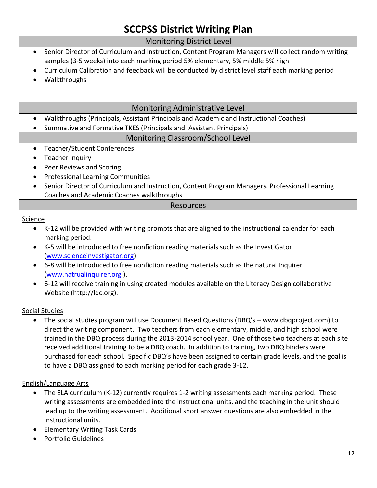| <b>Monitoring District Level</b>                                                                                      |
|-----------------------------------------------------------------------------------------------------------------------|
| Senior Director of Curriculum and Instruction, Content Program Managers will collect random writing<br>$\bullet$      |
| samples (3-5 weeks) into each marking period 5% elementary, 5% middle 5% high                                         |
| Curriculum Calibration and feedback will be conducted by district level staff each marking period                     |
| Walkthroughs                                                                                                          |
|                                                                                                                       |
| Monitoring Administrative Level                                                                                       |
| Walkthroughs (Principals, Assistant Principals and Academic and Instructional Coaches)                                |
| Summative and Formative TKES (Principals and Assistant Principals)                                                    |
| Monitoring Classroom/School Level                                                                                     |
| <b>Teacher/Student Conferences</b><br>$\bullet$                                                                       |
| <b>Teacher Inquiry</b>                                                                                                |
| Peer Reviews and Scoring<br>$\bullet$                                                                                 |
| <b>Professional Learning Communities</b>                                                                              |
| Senior Director of Curriculum and Instruction, Content Program Managers. Professional Learning<br>$\bullet$           |
| Coaches and Academic Coaches walkthroughs                                                                             |
| <b>Resources</b>                                                                                                      |
| Science                                                                                                               |
| K-12 will be provided with writing prompts that are aligned to the instructional calendar for each<br>marking period. |
| K-5 will be introduced to free nonfiction reading materials such as the InvestiGator<br>(www.scienceinvestigator.org) |
| 6-8 will be introduced to free nonfiction reading materials such as the natural Inquirer                              |
| (www.natrualinquirer.org).                                                                                            |
| 6-12 will receive training in using created modules available on the Literacy Design collaborative                    |
| Website (http://ldc.org).                                                                                             |
| <b>Social Studies</b>                                                                                                 |
| The social studies program will use Document Based Questions (DBQ's - www.dbqproject.com) to                          |
| direct the writing component. Two teachers from each elementary, middle, and high school were                         |
| trained in the DBQ process during the 2013-2014 school year. One of those two teachers at each site                   |
| received additional training to be a DBQ coach. In addition to training, two DBQ binders were                         |
| purchased for each school. Specific DBQ's have been assigned to certain grade levels, and the goal is                 |
| to have a DBQ assigned to each marking period for each grade 3-12.                                                    |

#### English/Language Arts

- The ELA curriculum (K-12) currently requires 1-2 writing assessments each marking period. These writing assessments are embedded into the instructional units, and the teaching in the unit should lead up to the writing assessment. Additional short answer questions are also embedded in the instructional units.
- Elementary Writing Task Cards
- Portfolio Guidelines